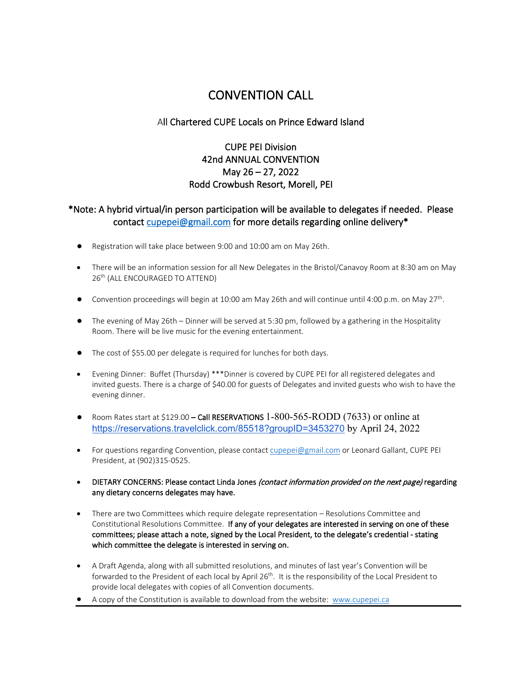# CONVENTION CALL

### All Chartered CUPE Locals on Prince Edward Island

### CUPE PEI Division 42nd ANNUAL CONVENTION May 26 – 27, 2022 Rodd Crowbush Resort, Morell, PEI

### \*Note: A hybrid virtual/in person participation will be available to delegates if needed. Please contact [cupepei@gmail.com](mailto:cupepei@gmail.com) for more details regarding online delivery\*

- Registration will take place between 9:00 and 10:00 am on May 26th.
- There will be an information session for all New Delegates in the Bristol/Canavoy Room at 8:30 am on May 26<sup>th</sup> (ALL ENCOURAGED TO ATTEND)
- Convention proceedings will begin at 10:00 am May 26th and will continue until 4:00 p.m. on May 27<sup>th</sup>.
- The evening of May 26th Dinner will be served at 5:30 pm, followed by a gathering in the Hospitality Room. There will be live music for the evening entertainment.
- The cost of \$55.00 per delegate is required for lunches for both days.
- Evening Dinner: Buffet (Thursday) \*\*\*Dinner is covered by CUPE PEI for all registered delegates and invited guests. There is a charge of \$40.00 for guests of Delegates and invited guests who wish to have the evening dinner.
- Room Rates start at \$129.00 Call RESERVATIONS 1-800-565-RODD (7633) or online at [https://reservations.travelclick.com/85518?groupID=3453270](https://nam12.safelinks.protection.outlook.com/?url=https%3A%2F%2Freservations.travelclick.com%2F85518%3FgroupID%3D3453270&data=04%7C01%7C%7Caef2eeb2368f41c0901a08da043372e7%7C84df9e7fe9f640afb435aaaaaaaaaaaa%7C1%7C0%7C637826916266281789%7CUnknown%7CTWFpbGZsb3d8eyJWIjoiMC4wLjAwMDAiLCJQIjoiV2luMzIiLCJBTiI6Ik1haWwiLCJXVCI6Mn0%3D%7C3000&sdata=RlA9qVVXulObjFTiegN2fYbG%2BDmOg8us6DNMavcj5Wk%3D&reserved=0) by April 24, 2022
- For questions regarding Convention, please contact [cupepei@gmail.com](mailto:cupepei@gmail.com) or Leonard Gallant, CUPE PEI President, at (902)315-0525.
- DIETARY CONCERNS: Please contact Linda Jones (contact information provided on the next page) regarding any dietary concerns delegates may have.
- There are two Committees which require delegate representation Resolutions Committee and Constitutional Resolutions Committee. If any of your delegates are interested in serving on one of these committees; please attach a note, signed by the Local President, to the delegate's credential - stating which committee the delegate is interested in serving on.
- A Draft Agenda, along with all submitted resolutions, and minutes of last year's Convention will be forwarded to the President of each local by April 26<sup>th</sup>. It is the responsibility of the Local President to provide local delegates with copies of all Convention documents.
- A copy of the Constitution is available to download from the website: [www.cupepei.ca](http://www.cupepei.ca/)